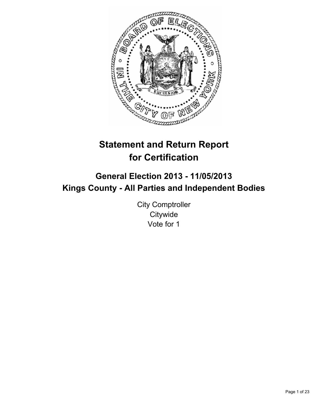

# **Statement and Return Report for Certification**

## **General Election 2013 - 11/05/2013 Kings County - All Parties and Independent Bodies**

City Comptroller **Citywide** Vote for 1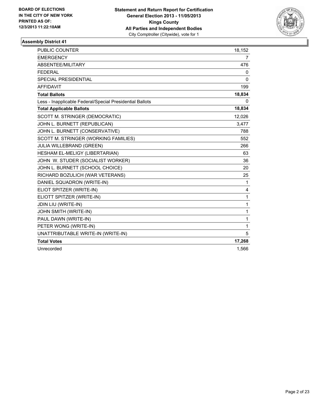

| <b>PUBLIC COUNTER</b>                                    | 18,152         |
|----------------------------------------------------------|----------------|
| <b>EMERGENCY</b>                                         | $\overline{7}$ |
| ABSENTEE/MILITARY                                        | 476            |
| <b>FEDERAL</b>                                           | 0              |
| SPECIAL PRESIDENTIAL                                     | $\Omega$       |
| <b>AFFIDAVIT</b>                                         | 199            |
| <b>Total Ballots</b>                                     | 18,834         |
| Less - Inapplicable Federal/Special Presidential Ballots | 0              |
| <b>Total Applicable Ballots</b>                          | 18,834         |
| SCOTT M. STRINGER (DEMOCRATIC)                           | 12,026         |
| JOHN L. BURNETT (REPUBLICAN)                             | 3,477          |
| JOHN L. BURNETT (CONSERVATIVE)                           | 788            |
| SCOTT M. STRINGER (WORKING FAMILIES)                     | 552            |
| JULIA WILLEBRAND (GREEN)                                 | 266            |
| HESHAM EL-MELIGY (LIBERTARIAN)                           | 63             |
| JOHN W. STUDER (SOCIALIST WORKER)                        | 36             |
| JOHN L. BURNETT (SCHOOL CHOICE)                          | 20             |
| RICHARD BOZULICH (WAR VETERANS)                          | 25             |
| DANIEL SQUADRON (WRITE-IN)                               | 1              |
| ELIOT SPITZER (WRITE-IN)                                 | 4              |
| ELIOTT SPITZER (WRITE-IN)                                | 1              |
| JDIN LIU (WRITE-IN)                                      | 1              |
| JOHN SMITH (WRITE-IN)                                    | 1              |
| PAUL DAWN (WRITE-IN)                                     | 1              |
| PETER WONG (WRITE-IN)                                    | 1              |
| UNATTRIBUTABLE WRITE-IN (WRITE-IN)                       | 5              |
| <b>Total Votes</b>                                       | 17,268         |
| Unrecorded                                               | 1,566          |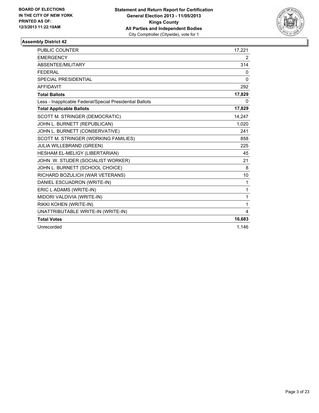

| PUBLIC COUNTER                                           | 17,221 |
|----------------------------------------------------------|--------|
| <b>EMERGENCY</b>                                         | 2      |
| <b>ABSENTEE/MILITARY</b>                                 | 314    |
| <b>FFDFRAI</b>                                           | 0      |
| <b>SPECIAL PRESIDENTIAL</b>                              | 0      |
| <b>AFFIDAVIT</b>                                         | 292    |
| <b>Total Ballots</b>                                     | 17,829 |
| Less - Inapplicable Federal/Special Presidential Ballots | 0      |
| <b>Total Applicable Ballots</b>                          | 17,829 |
| SCOTT M. STRINGER (DEMOCRATIC)                           | 14,247 |
| JOHN L. BURNETT (REPUBLICAN)                             | 1,020  |
| JOHN L. BURNETT (CONSERVATIVE)                           | 241    |
| SCOTT M. STRINGER (WORKING FAMILIES)                     | 858    |
| <b>JULIA WILLEBRAND (GREEN)</b>                          | 225    |
| HESHAM EL-MELIGY (LIBERTARIAN)                           | 45     |
| JOHN W. STUDER (SOCIALIST WORKER)                        | 21     |
| JOHN L. BURNETT (SCHOOL CHOICE)                          | 8      |
| RICHARD BOZULICH (WAR VETERANS)                          | 10     |
| DANIEL ESCUADRON (WRITE-IN)                              | 1      |
| ERIC L ADAMS (WRITE-IN)                                  | 1      |
| MIDORI VALDIVIA (WRITE-IN)                               | 1      |
| RIKKI KOHEN (WRITE-IN)                                   | 1      |
| UNATTRIBUTABLE WRITE-IN (WRITE-IN)                       | 4      |
| <b>Total Votes</b>                                       | 16,683 |
| Unrecorded                                               | 1,146  |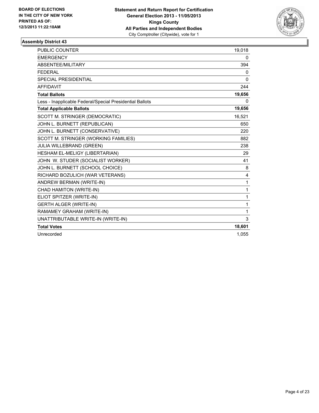

| <b>PUBLIC COUNTER</b>                                    | 19,018       |
|----------------------------------------------------------|--------------|
| <b>EMERGENCY</b>                                         | 0            |
| ABSENTEE/MILITARY                                        | 394          |
| <b>FEDERAL</b>                                           | 0            |
| <b>SPECIAL PRESIDENTIAL</b>                              | $\mathbf{0}$ |
| <b>AFFIDAVIT</b>                                         | 244          |
| <b>Total Ballots</b>                                     | 19,656       |
| Less - Inapplicable Federal/Special Presidential Ballots | 0            |
| <b>Total Applicable Ballots</b>                          | 19,656       |
| SCOTT M. STRINGER (DEMOCRATIC)                           | 16,521       |
| JOHN L. BURNETT (REPUBLICAN)                             | 650          |
| JOHN L. BURNETT (CONSERVATIVE)                           | 220          |
| SCOTT M. STRINGER (WORKING FAMILIES)                     | 882          |
| JULIA WILLEBRAND (GREEN)                                 | 238          |
| HESHAM EL-MELIGY (LIBERTARIAN)                           | 29           |
| JOHN W. STUDER (SOCIALIST WORKER)                        | 41           |
| JOHN L. BURNETT (SCHOOL CHOICE)                          | 8            |
| RICHARD BOZULICH (WAR VETERANS)                          | 4            |
| ANDREW BERMAN (WRITE-IN)                                 | $\mathbf{1}$ |
| CHAD HAMITON (WRITE-IN)                                  | $\mathbf{1}$ |
| ELIOT SPITZER (WRITE-IN)                                 | $\mathbf{1}$ |
| <b>GERTH ALGER (WRITE-IN)</b>                            | 1            |
| RAMAMEY GRAHAM (WRITE-IN)                                | $\mathbf{1}$ |
| UNATTRIBUTABLE WRITE-IN (WRITE-IN)                       | 3            |
| <b>Total Votes</b>                                       | 18,601       |
| Unrecorded                                               | 1,055        |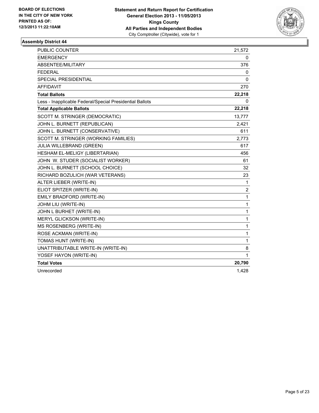

| <b>PUBLIC COUNTER</b>                                    | 21,572       |
|----------------------------------------------------------|--------------|
| <b>EMERGENCY</b>                                         | 0            |
| ABSENTEE/MILITARY                                        | 376          |
| <b>FEDERAL</b>                                           | 0            |
| <b>SPECIAL PRESIDENTIAL</b>                              | 0            |
| <b>AFFIDAVIT</b>                                         | 270          |
| <b>Total Ballots</b>                                     | 22,218       |
| Less - Inapplicable Federal/Special Presidential Ballots | 0            |
| <b>Total Applicable Ballots</b>                          | 22,218       |
| SCOTT M. STRINGER (DEMOCRATIC)                           | 13,777       |
| JOHN L. BURNETT (REPUBLICAN)                             | 2,421        |
| JOHN L. BURNETT (CONSERVATIVE)                           | 611          |
| SCOTT M. STRINGER (WORKING FAMILIES)                     | 2,773        |
| JULIA WILLEBRAND (GREEN)                                 | 617          |
| HESHAM EL-MELIGY (LIBERTARIAN)                           | 456          |
| JOHN W. STUDER (SOCIALIST WORKER)                        | 61           |
| JOHN L. BURNETT (SCHOOL CHOICE)                          | 32           |
| RICHARD BOZULICH (WAR VETERANS)                          | 23           |
| ALTER LIEBER (WRITE-IN)                                  | $\mathbf{1}$ |
| ELIOT SPITZER (WRITE-IN)                                 | 2            |
| EMILY BRADFORD (WRITE-IN)                                | $\mathbf{1}$ |
| JOHM LIU (WRITE-IN)                                      | $\mathbf{1}$ |
| JOHN L BURHET (WRITE-IN)                                 | 1            |
| MERYL GLICKSON (WRITE-IN)                                | $\mathbf{1}$ |
| MS ROSENBERG (WRITE-IN)                                  | $\mathbf{1}$ |
| ROSE ACKMAN (WRITE-IN)                                   | $\mathbf{1}$ |
| TOMAS HUNT (WRITE-IN)                                    | 1            |
| UNATTRIBUTABLE WRITE-IN (WRITE-IN)                       | 8            |
| YOSEF HAYON (WRITE-IN)                                   | 1            |
| <b>Total Votes</b>                                       | 20,790       |
| Unrecorded                                               | 1,428        |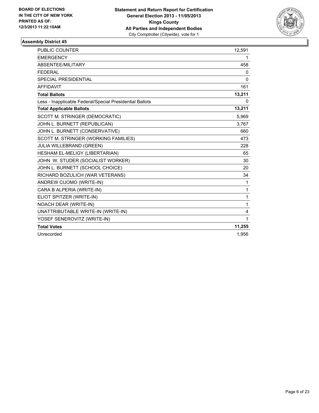

| PUBLIC COUNTER                                           | 12,591       |
|----------------------------------------------------------|--------------|
| <b>EMERGENCY</b>                                         | 1            |
| ABSENTEE/MILITARY                                        | 458          |
| <b>FEDERAL</b>                                           | 0            |
| <b>SPECIAL PRESIDENTIAL</b>                              | $\Omega$     |
| <b>AFFIDAVIT</b>                                         | 161          |
| <b>Total Ballots</b>                                     | 13,211       |
| Less - Inapplicable Federal/Special Presidential Ballots | 0            |
| <b>Total Applicable Ballots</b>                          | 13,211       |
| SCOTT M. STRINGER (DEMOCRATIC)                           | 5,969        |
| JOHN L. BURNETT (REPUBLICAN)                             | 3,767        |
| JOHN L. BURNETT (CONSERVATIVE)                           | 660          |
| SCOTT M. STRINGER (WORKING FAMILIES)                     | 473          |
| JULIA WILLEBRAND (GREEN)                                 | 228          |
| HESHAM EL-MELIGY (LIBERTARIAN)                           | 65           |
| JOHN W. STUDER (SOCIALIST WORKER)                        | 30           |
| JOHN L. BURNETT (SCHOOL CHOICE)                          | 20           |
| RICHARD BOZULICH (WAR VETERANS)                          | 34           |
| ANDREW CUOMO (WRITE-IN)                                  | $\mathbf{1}$ |
| CARA B ALPERIA (WRITE-IN)                                | $\mathbf{1}$ |
| ELIOT SPITZER (WRITE-IN)                                 | $\mathbf{1}$ |
| NOACH DEAR (WRITE-IN)                                    | $\mathbf{1}$ |
| UNATTRIBUTABLE WRITE-IN (WRITE-IN)                       | 4            |
| YOSEF SENEROVITZ (WRITE-IN)                              | 1            |
| <b>Total Votes</b>                                       | 11,255       |
| Unrecorded                                               | 1,956        |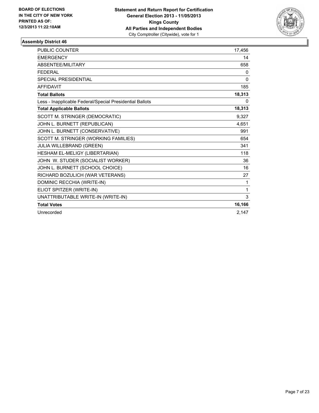

| <b>PUBLIC COUNTER</b>                                    | 17,456 |
|----------------------------------------------------------|--------|
| <b>EMERGENCY</b>                                         | 14     |
| ABSENTEE/MILITARY                                        | 658    |
| <b>FEDERAL</b>                                           | 0      |
| SPECIAL PRESIDENTIAL                                     | 0      |
| <b>AFFIDAVIT</b>                                         | 185    |
| <b>Total Ballots</b>                                     | 18,313 |
| Less - Inapplicable Federal/Special Presidential Ballots | 0      |
| <b>Total Applicable Ballots</b>                          | 18,313 |
| SCOTT M. STRINGER (DEMOCRATIC)                           | 9,327  |
| JOHN L. BURNETT (REPUBLICAN)                             | 4,651  |
| JOHN L. BURNETT (CONSERVATIVE)                           | 991    |
| SCOTT M. STRINGER (WORKING FAMILIES)                     | 654    |
| <b>JULIA WILLEBRAND (GREEN)</b>                          | 341    |
| HESHAM EL-MELIGY (LIBERTARIAN)                           | 118    |
| JOHN W. STUDER (SOCIALIST WORKER)                        | 36     |
| JOHN L. BURNETT (SCHOOL CHOICE)                          | 16     |
| RICHARD BOZULICH (WAR VETERANS)                          | 27     |
| DOMINIC RECCHIA (WRITE-IN)                               | 1      |
| ELIOT SPITZER (WRITE-IN)                                 | 1      |
| UNATTRIBUTABLE WRITE-IN (WRITE-IN)                       | 3      |
| <b>Total Votes</b>                                       | 16,166 |
| Unrecorded                                               | 2,147  |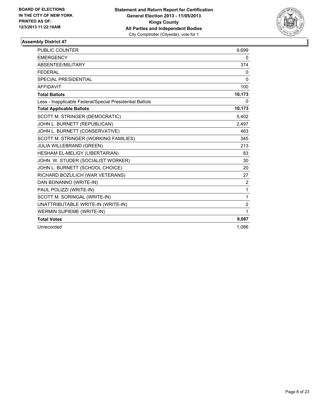

| PUBLIC COUNTER                                           | 9,699          |
|----------------------------------------------------------|----------------|
| <b>EMERGENCY</b>                                         | 0              |
| <b>ABSENTEE/MILITARY</b>                                 | 374            |
| <b>FFDFRAI</b>                                           | 0              |
| <b>SPECIAL PRESIDENTIAL</b>                              | 0              |
| <b>AFFIDAVIT</b>                                         | 100            |
| <b>Total Ballots</b>                                     | 10,173         |
| Less - Inapplicable Federal/Special Presidential Ballots | 0              |
| <b>Total Applicable Ballots</b>                          | 10,173         |
| SCOTT M. STRINGER (DEMOCRATIC)                           | 5,402          |
| JOHN L. BURNETT (REPUBLICAN)                             | 2.497          |
| JOHN L. BURNETT (CONSERVATIVE)                           | 463            |
| SCOTT M. STRINGER (WORKING FAMILIES)                     | 345            |
| <b>JULIA WILLEBRAND (GREEN)</b>                          | 213            |
| HESHAM EL-MELIGY (LIBERTARIAN)                           | 83             |
| JOHN W. STUDER (SOCIALIST WORKER)                        | 30             |
| JOHN L. BURNETT (SCHOOL CHOICE)                          | 20             |
| RICHARD BOZULICH (WAR VETERANS)                          | 27             |
| DAN BONANNO (WRITE-IN)                                   | 2              |
| PAUL POLIZZI (WRITE-IN)                                  | 1              |
| SCOTT M. SORINGAL (WRITE-IN)                             | 1              |
| UNATTRIBUTABLE WRITE-IN (WRITE-IN)                       | $\overline{2}$ |
| <b>WERMIN SUPIEME (WRITE-IN)</b>                         | 1              |
| <b>Total Votes</b>                                       | 9,087          |
| Unrecorded                                               | 1.086          |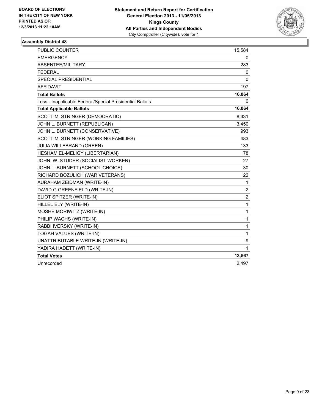

| <b>PUBLIC COUNTER</b>                                    | 15,584         |
|----------------------------------------------------------|----------------|
| <b>EMERGENCY</b>                                         | 0              |
| ABSENTEE/MILITARY                                        | 283            |
| <b>FEDERAL</b>                                           | 0              |
| SPECIAL PRESIDENTIAL                                     | 0              |
| <b>AFFIDAVIT</b>                                         | 197            |
| <b>Total Ballots</b>                                     | 16,064         |
| Less - Inapplicable Federal/Special Presidential Ballots | 0              |
| <b>Total Applicable Ballots</b>                          | 16,064         |
| SCOTT M. STRINGER (DEMOCRATIC)                           | 8,331          |
| JOHN L. BURNETT (REPUBLICAN)                             | 3,450          |
| JOHN L. BURNETT (CONSERVATIVE)                           | 993            |
| SCOTT M. STRINGER (WORKING FAMILIES)                     | 483            |
| <b>JULIA WILLEBRAND (GREEN)</b>                          | 133            |
| HESHAM EL-MELIGY (LIBERTARIAN)                           | 78             |
| JOHN W. STUDER (SOCIALIST WORKER)                        | 27             |
| JOHN L. BURNETT (SCHOOL CHOICE)                          | 30             |
| RICHARD BOZULICH (WAR VETERANS)                          | 22             |
| AURAHAM ZEIDMAN (WRITE-IN)                               | 1              |
| DAVID G GREENFIELD (WRITE-IN)                            | $\overline{2}$ |
| ELIOT SPITZER (WRITE-IN)                                 | $\overline{2}$ |
| HILLEL ELY (WRITE-IN)                                    | 1              |
| MOSHE MORIWITZ (WRITE-IN)                                | 1              |
| PHILIP WACHS (WRITE-IN)                                  | 1              |
| RABBI IVERSKY (WRITE-IN)                                 | 1              |
| TOGAH VALUES (WRITE-IN)                                  | 1              |
| UNATTRIBUTABLE WRITE-IN (WRITE-IN)                       | 9              |
| YADIRA HADETT (WRITE-IN)                                 | 1              |
| <b>Total Votes</b>                                       | 13,567         |
| Unrecorded                                               | 2,497          |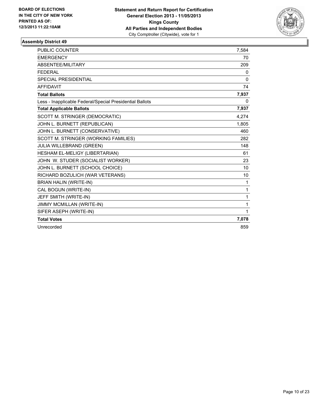

| <b>PUBLIC COUNTER</b>                                    | 7,584        |
|----------------------------------------------------------|--------------|
| <b>EMERGENCY</b>                                         | 70           |
| ABSENTEE/MILITARY                                        | 209          |
| <b>FFDFRAI</b>                                           | 0            |
| <b>SPECIAL PRESIDENTIAL</b>                              | $\mathbf{0}$ |
| <b>AFFIDAVIT</b>                                         | 74           |
| <b>Total Ballots</b>                                     | 7,937        |
| Less - Inapplicable Federal/Special Presidential Ballots | 0            |
| <b>Total Applicable Ballots</b>                          | 7,937        |
| SCOTT M. STRINGER (DEMOCRATIC)                           | 4,274        |
| JOHN L. BURNETT (REPUBLICAN)                             | 1,805        |
| JOHN L. BURNETT (CONSERVATIVE)                           | 460          |
| SCOTT M. STRINGER (WORKING FAMILIES)                     | 282          |
| <b>JULIA WILLEBRAND (GREEN)</b>                          | 148          |
| HESHAM EL-MELIGY (LIBERTARIAN)                           | 61           |
| JOHN W. STUDER (SOCIALIST WORKER)                        | 23           |
| JOHN L. BURNETT (SCHOOL CHOICE)                          | 10           |
| RICHARD BOZULICH (WAR VETERANS)                          | 10           |
| <b>BRIAN HALIN (WRITE-IN)</b>                            | 1            |
| CAL BOGUN (WRITE-IN)                                     | 1            |
| JEFF SMITH (WRITE-IN)                                    | 1            |
| JIMMY MCMILLAN (WRITE-IN)                                | 1            |
| SIFER ASEPH (WRITE-IN)                                   | 1            |
| <b>Total Votes</b>                                       | 7,078        |
| Unrecorded                                               | 859          |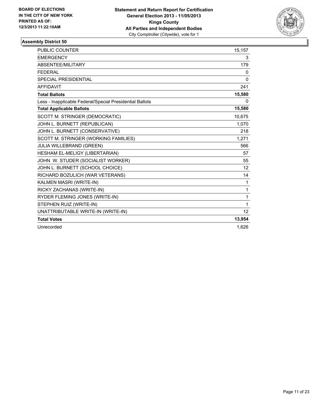

| PUBLIC COUNTER                                           | 15,157       |
|----------------------------------------------------------|--------------|
| <b>EMERGENCY</b>                                         | 3            |
| <b>ABSENTEE/MILITARY</b>                                 | 179          |
| <b>FFDFRAI</b>                                           | 0            |
| <b>SPECIAL PRESIDENTIAL</b>                              | $\mathbf{0}$ |
| <b>AFFIDAVIT</b>                                         | 241          |
| <b>Total Ballots</b>                                     | 15,580       |
| Less - Inapplicable Federal/Special Presidential Ballots | 0            |
| <b>Total Applicable Ballots</b>                          | 15,580       |
| SCOTT M. STRINGER (DEMOCRATIC)                           | 10,675       |
| JOHN L. BURNETT (REPUBLICAN)                             | 1,070        |
| JOHN L. BURNETT (CONSERVATIVE)                           | 218          |
| SCOTT M. STRINGER (WORKING FAMILIES)                     | 1.271        |
| <b>JULIA WILLEBRAND (GREEN)</b>                          | 566          |
| HESHAM EL-MELIGY (LIBERTARIAN)                           | 57           |
| JOHN W. STUDER (SOCIALIST WORKER)                        | 55           |
| JOHN L. BURNETT (SCHOOL CHOICE)                          | 12           |
| RICHARD BOZULICH (WAR VETERANS)                          | 14           |
| KALMEN MASRI (WRITE-IN)                                  | 1            |
| RICKY ZACHANAS (WRITE-IN)                                | 1            |
| RYDER FLEMING JONES (WRITE-IN)                           | 1            |
| STEPHEN RUIZ (WRITE-IN)                                  | 1            |
| UNATTRIBUTABLE WRITE-IN (WRITE-IN)                       | 12           |
| <b>Total Votes</b>                                       | 13,954       |
| Unrecorded                                               | 1.626        |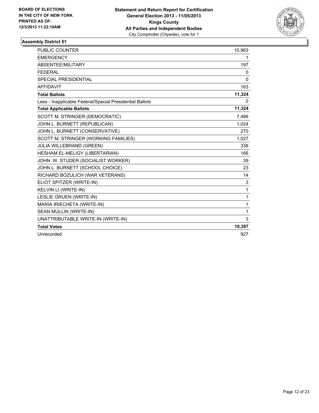

| <b>PUBLIC COUNTER</b>                                    | 10,963       |
|----------------------------------------------------------|--------------|
| <b>EMERGENCY</b>                                         | 1            |
| ABSENTEE/MILITARY                                        | 197          |
| <b>FEDERAL</b>                                           | 0            |
| <b>SPECIAL PRESIDENTIAL</b>                              | $\mathbf{0}$ |
| <b>AFFIDAVIT</b>                                         | 163          |
| <b>Total Ballots</b>                                     | 11,324       |
| Less - Inapplicable Federal/Special Presidential Ballots | 0            |
| <b>Total Applicable Ballots</b>                          | 11,324       |
| SCOTT M. STRINGER (DEMOCRATIC)                           | 7,486        |
| JOHN L. BURNETT (REPUBLICAN)                             | 1,024        |
| JOHN L. BURNETT (CONSERVATIVE)                           | 270          |
| SCOTT M. STRINGER (WORKING FAMILIES)                     | 1,027        |
| <b>JULIA WILLEBRAND (GREEN)</b>                          | 338          |
| HESHAM EL-MELIGY (LIBERTARIAN)                           | 166          |
| JOHN W. STUDER (SOCIALIST WORKER)                        | 39           |
| JOHN L. BURNETT (SCHOOL CHOICE)                          | 23           |
| RICHARD BOZULICH (WAR VETERANS)                          | 14           |
| ELIOT SPITZER (WRITE-IN)                                 | 3            |
| KELVIN LI (WRITE-IN)                                     | $\mathbf{1}$ |
| LESLIE GRUEN (WRITE-IN)                                  | $\mathbf{1}$ |
| MARIA IRIECHETA (WRITE-IN)                               | $\mathbf 1$  |
| SEAN MULLIN (WRITE-IN)                                   | 1            |
| UNATTRIBUTABLE WRITE-IN (WRITE-IN)                       | 3            |
| <b>Total Votes</b>                                       | 10,397       |
| Unrecorded                                               | 927          |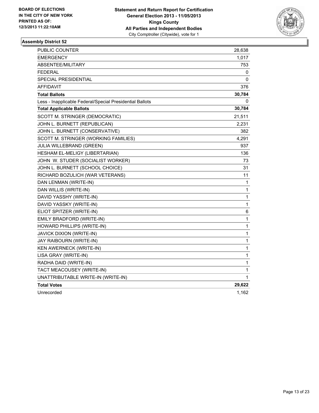

| <b>PUBLIC COUNTER</b>                                    | 28,638       |
|----------------------------------------------------------|--------------|
| <b>EMERGENCY</b>                                         | 1,017        |
| ABSENTEE/MILITARY                                        | 753          |
| <b>FEDERAL</b>                                           | 0            |
| SPECIAL PRESIDENTIAL                                     | 0            |
| <b>AFFIDAVIT</b>                                         | 376          |
| <b>Total Ballots</b>                                     | 30,784       |
| Less - Inapplicable Federal/Special Presidential Ballots | 0            |
| <b>Total Applicable Ballots</b>                          | 30,784       |
| SCOTT M. STRINGER (DEMOCRATIC)                           | 21,511       |
| JOHN L. BURNETT (REPUBLICAN)                             | 2,231        |
| JOHN L. BURNETT (CONSERVATIVE)                           | 382          |
| SCOTT M. STRINGER (WORKING FAMILIES)                     | 4,291        |
| <b>JULIA WILLEBRAND (GREEN)</b>                          | 937          |
| HESHAM EL-MELIGY (LIBERTARIAN)                           | 136          |
| JOHN W. STUDER (SOCIALIST WORKER)                        | 73           |
| JOHN L. BURNETT (SCHOOL CHOICE)                          | 31           |
| RICHARD BOZULICH (WAR VETERANS)                          | 11           |
| DAN LENMAN (WRITE-IN)                                    | 1            |
| DAN WILLIS (WRITE-IN)                                    | $\mathbf{1}$ |
| DAVID YASSHY (WRITE-IN)                                  | $\mathbf{1}$ |
| DAVID YASSKY (WRITE-IN)                                  | 1            |
| ELIOT SPITZER (WRITE-IN)                                 | 6            |
| EMILY BRADFORD (WRITE-IN)                                | 1            |
| HOWARD PHILLIPS (WRITE-IN)                               | 1            |
| <b>JAVICK DIXION (WRITE-IN)</b>                          | $\mathbf{1}$ |
| JAY RAIBOURN (WRITE-IN)                                  | $\mathbf{1}$ |
| KEN AWERNECK (WRITE-IN)                                  | $\mathbf{1}$ |
| LISA GRAY (WRITE-IN)                                     | 1            |
| RADHA DAID (WRITE-IN)                                    | 1            |
| TACT MEACOUSEY (WRITE-IN)                                | 1            |
| UNATTRIBUTABLE WRITE-IN (WRITE-IN)                       | $\mathbf 1$  |
| <b>Total Votes</b>                                       | 29,622       |
| Unrecorded                                               | 1,162        |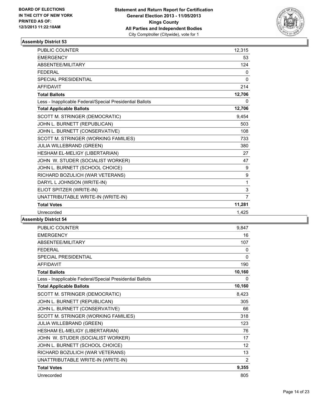

| PUBLIC COUNTER                                           | 12,315         |
|----------------------------------------------------------|----------------|
| <b>EMERGENCY</b>                                         | 53             |
| <b>ABSENTEE/MILITARY</b>                                 | 124            |
| <b>FFDFRAI</b>                                           | 0              |
| SPECIAL PRESIDENTIAL                                     | 0              |
| <b>AFFIDAVIT</b>                                         | 214            |
| <b>Total Ballots</b>                                     | 12,706         |
| Less - Inapplicable Federal/Special Presidential Ballots | 0              |
| <b>Total Applicable Ballots</b>                          | 12,706         |
| SCOTT M. STRINGER (DEMOCRATIC)                           | 9,454          |
| JOHN L. BURNETT (REPUBLICAN)                             | 503            |
| JOHN L. BURNETT (CONSERVATIVE)                           | 108            |
| SCOTT M. STRINGER (WORKING FAMILIES)                     | 733            |
| JULIA WILLEBRAND (GREEN)                                 | 380            |
| HESHAM EL-MELIGY (LIBERTARIAN)                           | 27             |
| JOHN W. STUDER (SOCIALIST WORKER)                        | 47             |
| JOHN L. BURNETT (SCHOOL CHOICE)                          | 9              |
| RICHARD BOZULICH (WAR VETERANS)                          | 9              |
| DARYL L JOHNSON (WRITE-IN)                               | 1              |
| ELIOT SPITZER (WRITE-IN)                                 | 3              |
| UNATTRIBUTABLE WRITE-IN (WRITE-IN)                       | $\overline{7}$ |
| <b>Total Votes</b>                                       | 11,281         |
| Unrecorded                                               | 1,425          |

| <b>PUBLIC COUNTER</b>                                    | 9,847  |
|----------------------------------------------------------|--------|
| <b>EMERGENCY</b>                                         | 16     |
| <b>ABSENTEE/MILITARY</b>                                 | 107    |
| <b>FFDFRAI</b>                                           | 0      |
| <b>SPECIAL PRESIDENTIAL</b>                              | 0      |
| <b>AFFIDAVIT</b>                                         | 190    |
| <b>Total Ballots</b>                                     | 10,160 |
| Less - Inapplicable Federal/Special Presidential Ballots | 0      |
| <b>Total Applicable Ballots</b>                          | 10,160 |
| SCOTT M. STRINGER (DEMOCRATIC)                           | 8,423  |
| JOHN L. BURNETT (REPUBLICAN)                             | 305    |
| JOHN L. BURNETT (CONSERVATIVE)                           | 66     |
| SCOTT M. STRINGER (WORKING FAMILIES)                     | 318    |
| JULIA WILLEBRAND (GREEN)                                 | 123    |
| HESHAM EL-MELIGY (LIBERTARIAN)                           | 76     |
| JOHN W. STUDER (SOCIALIST WORKER)                        | 17     |
| JOHN L. BURNETT (SCHOOL CHOICE)                          | 12     |
| RICHARD BOZULICH (WAR VETERANS)                          | 13     |
| UNATTRIBUTABLE WRITE-IN (WRITE-IN)                       | 2      |
| <b>Total Votes</b>                                       | 9,355  |
| Unrecorded                                               | 805    |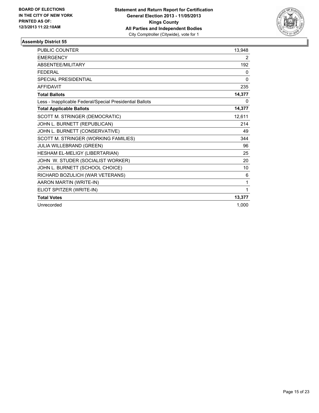

| <b>PUBLIC COUNTER</b>                                    | 13,948         |
|----------------------------------------------------------|----------------|
| <b>EMERGENCY</b>                                         | $\overline{2}$ |
| ABSENTEE/MILITARY                                        | 192            |
| <b>FEDERAL</b>                                           | 0              |
| <b>SPECIAL PRESIDENTIAL</b>                              | $\mathbf{0}$   |
| <b>AFFIDAVIT</b>                                         | 235            |
| <b>Total Ballots</b>                                     | 14,377         |
| Less - Inapplicable Federal/Special Presidential Ballots | 0              |
| <b>Total Applicable Ballots</b>                          | 14,377         |
| SCOTT M. STRINGER (DEMOCRATIC)                           | 12,611         |
| JOHN L. BURNETT (REPUBLICAN)                             | 214            |
| JOHN L. BURNETT (CONSERVATIVE)                           | 49             |
| SCOTT M. STRINGER (WORKING FAMILIES)                     | 344            |
| JULIA WILLEBRAND (GREEN)                                 | 96             |
| HESHAM EL-MELIGY (LIBERTARIAN)                           | 25             |
| JOHN W. STUDER (SOCIALIST WORKER)                        | 20             |
| JOHN L. BURNETT (SCHOOL CHOICE)                          | 10             |
| RICHARD BOZULICH (WAR VETERANS)                          | 6              |
| AARON MARTIN (WRITE-IN)                                  | 1              |
| ELIOT SPITZER (WRITE-IN)                                 | 1              |
| <b>Total Votes</b>                                       | 13,377         |
| Unrecorded                                               | 1,000          |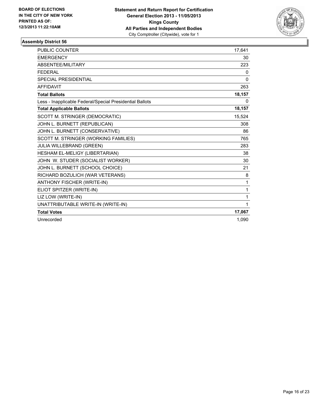

| <b>PUBLIC COUNTER</b>                                    | 17.641   |
|----------------------------------------------------------|----------|
| <b>EMERGENCY</b>                                         | 30       |
| ABSENTEE/MILITARY                                        | 223      |
| <b>FEDERAL</b>                                           | 0        |
| SPECIAL PRESIDENTIAL                                     | $\Omega$ |
| <b>AFFIDAVIT</b>                                         | 263      |
| <b>Total Ballots</b>                                     | 18,157   |
| Less - Inapplicable Federal/Special Presidential Ballots | 0        |
| <b>Total Applicable Ballots</b>                          | 18,157   |
| SCOTT M. STRINGER (DEMOCRATIC)                           | 15.524   |
| JOHN L. BURNETT (REPUBLICAN)                             | 308      |
| JOHN L. BURNETT (CONSERVATIVE)                           | 86       |
| SCOTT M. STRINGER (WORKING FAMILIES)                     | 765      |
| <b>JULIA WILLEBRAND (GREEN)</b>                          | 283      |
| HESHAM EL-MELIGY (LIBERTARIAN)                           | 38       |
| JOHN W. STUDER (SOCIALIST WORKER)                        | 30       |
| JOHN L. BURNETT (SCHOOL CHOICE)                          | 21       |
| RICHARD BOZULICH (WAR VETERANS)                          | 8        |
| ANTHONY FISCHER (WRITE-IN)                               | 1        |
| ELIOT SPITZER (WRITE-IN)                                 | 1        |
| LIZ LOW (WRITE-IN)                                       | 1        |
| UNATTRIBUTABLE WRITE-IN (WRITE-IN)                       | 1        |
| <b>Total Votes</b>                                       | 17,067   |
| Unrecorded                                               | 1.090    |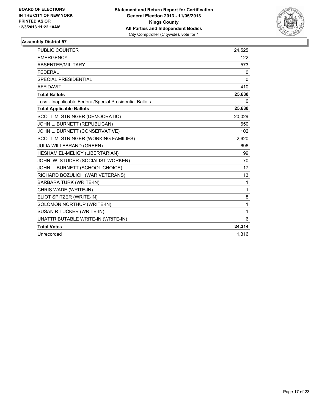

| PUBLIC COUNTER                                           | 24,525       |
|----------------------------------------------------------|--------------|
| <b>EMERGENCY</b>                                         | 122          |
| ABSENTEE/MILITARY                                        | 573          |
| <b>FEDERAL</b>                                           | 0            |
| <b>SPECIAL PRESIDENTIAL</b>                              | $\mathbf{0}$ |
| <b>AFFIDAVIT</b>                                         | 410          |
| <b>Total Ballots</b>                                     | 25,630       |
| Less - Inapplicable Federal/Special Presidential Ballots | 0            |
| <b>Total Applicable Ballots</b>                          | 25,630       |
| SCOTT M. STRINGER (DEMOCRATIC)                           | 20,029       |
| JOHN L. BURNETT (REPUBLICAN)                             | 650          |
| JOHN L. BURNETT (CONSERVATIVE)                           | 102          |
| SCOTT M. STRINGER (WORKING FAMILIES)                     | 2,620        |
| <b>JULIA WILLEBRAND (GREEN)</b>                          | 696          |
| HESHAM EL-MELIGY (LIBERTARIAN)                           | 99           |
| JOHN W. STUDER (SOCIALIST WORKER)                        | 70           |
| JOHN L. BURNETT (SCHOOL CHOICE)                          | 17           |
| RICHARD BOZULICH (WAR VETERANS)                          | 13           |
| <b>BARBARA TURK (WRITE-IN)</b>                           | $\mathbf{1}$ |
| CHRIS WADE (WRITE-IN)                                    | 1            |
| ELIOT SPITZER (WRITE-IN)                                 | 8            |
| SOLOMON NORTHUP (WRITE-IN)                               | $\mathbf 1$  |
| SUSAN R TUCKER (WRITE-IN)                                | $\mathbf{1}$ |
| UNATTRIBUTABLE WRITE-IN (WRITE-IN)                       | 6            |
| <b>Total Votes</b>                                       | 24,314       |
| Unrecorded                                               | 1,316        |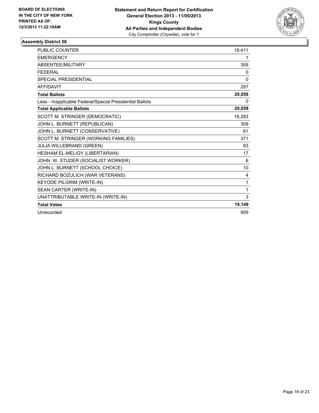

| <b>PUBLIC COUNTER</b>                                    | 19,411   |
|----------------------------------------------------------|----------|
| <b>EMERGENCY</b>                                         | 1        |
| <b>ABSENTEE/MILITARY</b>                                 | 359      |
| <b>FEDERAL</b>                                           | 0        |
| <b>SPECIAL PRESIDENTIAL</b>                              | $\Omega$ |
| <b>AFFIDAVIT</b>                                         | 287      |
| <b>Total Ballots</b>                                     | 20,058   |
| Less - Inapplicable Federal/Special Presidential Ballots | 0        |
| <b>Total Applicable Ballots</b>                          | 20,058   |
| SCOTT M. STRINGER (DEMOCRATIC)                           | 18,283   |
| JOHN L. BURNETT (REPUBLICAN)                             | 309      |
| JOHN L. BURNETT (CONSERVATIVE)                           | 61       |
| SCOTT M. STRINGER (WORKING FAMILIES)                     | 371      |
| JULIA WILLEBRAND (GREEN)                                 | 83       |
| HESHAM EL-MELIGY (LIBERTARIAN)                           | 17       |
| JOHN W. STUDER (SOCIALIST WORKER)                        | 6        |
| JOHN L. BURNETT (SCHOOL CHOICE)                          | 10       |
| RICHARD BOZULICH (WAR VETERANS)                          | 4        |
| <b>KEYODE PILGRIM (WRITE-IN)</b>                         | 1        |
| SEAN CARTER (WRITE-IN)                                   | 1        |
| UNATTRIBUTABLE WRITE-IN (WRITE-IN)                       | 3        |
| <b>Total Votes</b>                                       | 19,149   |
| Unrecorded                                               | 909      |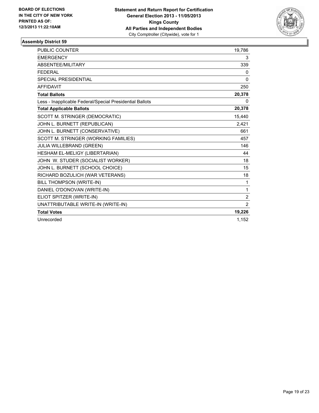

| <b>PUBLIC COUNTER</b>                                    | 19,786       |
|----------------------------------------------------------|--------------|
| <b>EMERGENCY</b>                                         | 3            |
| <b>ABSENTEE/MILITARY</b>                                 | 339          |
| <b>FEDERAL</b>                                           | 0            |
| <b>SPECIAL PRESIDENTIAL</b>                              | 0            |
| <b>AFFIDAVIT</b>                                         | 250          |
| <b>Total Ballots</b>                                     | 20,378       |
| Less - Inapplicable Federal/Special Presidential Ballots | 0            |
| <b>Total Applicable Ballots</b>                          | 20,378       |
| SCOTT M. STRINGER (DEMOCRATIC)                           | 15,440       |
| JOHN L. BURNETT (REPUBLICAN)                             | 2,421        |
| JOHN L. BURNETT (CONSERVATIVE)                           | 661          |
| SCOTT M. STRINGER (WORKING FAMILIES)                     | 457          |
| JULIA WILLEBRAND (GREEN)                                 | 146          |
| HESHAM EL-MELIGY (LIBERTARIAN)                           | 44           |
| JOHN W. STUDER (SOCIALIST WORKER)                        | 18           |
| JOHN L. BURNETT (SCHOOL CHOICE)                          | 15           |
| RICHARD BOZULICH (WAR VETERANS)                          | 18           |
| BILL THOMPSON (WRITE-IN)                                 | 1            |
| DANIEL O'DONOVAN (WRITE-IN)                              | $\mathbf{1}$ |
| ELIOT SPITZER (WRITE-IN)                                 | 2            |
| UNATTRIBUTABLE WRITE-IN (WRITE-IN)                       | 2            |
| <b>Total Votes</b>                                       | 19,226       |
| Unrecorded                                               | 1,152        |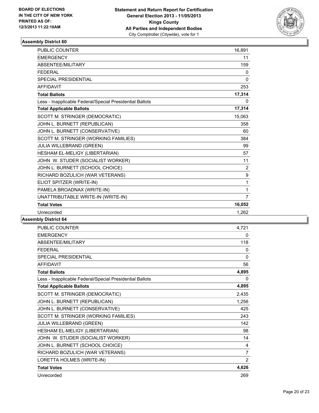

| PUBLIC COUNTER                                           | 16,891       |
|----------------------------------------------------------|--------------|
| <b>EMERGENCY</b>                                         | 11           |
| <b>ABSENTEE/MILITARY</b>                                 | 159          |
| <b>FFDFRAI</b>                                           | 0            |
| <b>SPECIAL PRESIDENTIAL</b>                              | 0            |
| <b>AFFIDAVIT</b>                                         | 253          |
| <b>Total Ballots</b>                                     | 17,314       |
| Less - Inapplicable Federal/Special Presidential Ballots | 0            |
| <b>Total Applicable Ballots</b>                          | 17,314       |
| SCOTT M. STRINGER (DEMOCRATIC)                           | 15,063       |
| JOHN L. BURNETT (REPUBLICAN)                             | 358          |
| JOHN L. BURNETT (CONSERVATIVE)                           | 60           |
| SCOTT M. STRINGER (WORKING FAMILIES)                     | 384          |
| JULIA WILLEBRAND (GREEN)                                 | 99           |
| HESHAM EL-MELIGY (LIBERTARIAN)                           | 57           |
| JOHN W. STUDER (SOCIALIST WORKER)                        | 11           |
| JOHN L. BURNETT (SCHOOL CHOICE)                          | 2            |
| RICHARD BOZULICH (WAR VETERANS)                          | 9            |
| ELIOT SPITZER (WRITE-IN)                                 | 1            |
| PAMELA BROADNAX (WRITE-IN)                               | $\mathbf{1}$ |
| UNATTRIBUTABLE WRITE-IN (WRITE-IN)                       | 7            |
| <b>Total Votes</b>                                       | 16,052       |
| Unrecorded                                               | 1,262        |

| <b>PUBLIC COUNTER</b>                                    | 4,721 |
|----------------------------------------------------------|-------|
| <b>EMERGENCY</b>                                         | 0     |
| ABSENTEE/MILITARY                                        | 118   |
| <b>FFDFRAL</b>                                           | 0     |
| SPECIAL PRESIDENTIAL                                     | 0     |
| <b>AFFIDAVIT</b>                                         | 56    |
| <b>Total Ballots</b>                                     | 4,895 |
| Less - Inapplicable Federal/Special Presidential Ballots | 0     |
| <b>Total Applicable Ballots</b>                          | 4,895 |
| SCOTT M. STRINGER (DEMOCRATIC)                           | 2,435 |
| JOHN L. BURNETT (REPUBLICAN)                             | 1,256 |
| JOHN L. BURNETT (CONSERVATIVE)                           | 425   |
| SCOTT M. STRINGER (WORKING FAMILIES)                     | 243   |
| JULIA WILLEBRAND (GREEN)                                 | 142   |
| HESHAM EL-MELIGY (LIBERTARIAN)                           | 98    |
| JOHN W. STUDER (SOCIALIST WORKER)                        | 14    |
| JOHN L. BURNETT (SCHOOL CHOICE)                          | 4     |
| RICHARD BOZULICH (WAR VETERANS)                          | 7     |
| LORETTA HOLMES (WRITE-IN)                                | 2     |
| <b>Total Votes</b>                                       | 4,626 |
| Unrecorded                                               | 269   |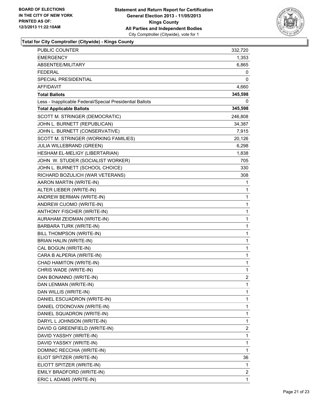

**Total for City Comptroller (Citywide) - Kings County**

| PUBLIC COUNTER                                           | 332,720        |
|----------------------------------------------------------|----------------|
| <b>EMERGENCY</b>                                         | 1,353          |
| ABSENTEE/MILITARY                                        | 6,865          |
| <b>FEDERAL</b>                                           | 0              |
| SPECIAL PRESIDENTIAL                                     | 0              |
| <b>AFFIDAVIT</b>                                         | 4,660          |
| <b>Total Ballots</b>                                     | 345,598        |
| Less - Inapplicable Federal/Special Presidential Ballots | 0              |
| <b>Total Applicable Ballots</b>                          | 345,598        |
| SCOTT M. STRINGER (DEMOCRATIC)                           | 246,808        |
| JOHN L. BURNETT (REPUBLICAN)                             | 34,387         |
| JOHN L. BURNETT (CONSERVATIVE)                           | 7,915          |
| SCOTT M. STRINGER (WORKING FAMILIES)                     | 20,126         |
| JULIA WILLEBRAND (GREEN)                                 | 6,298          |
| HESHAM EL-MELIGY (LIBERTARIAN)                           | 1,838          |
| JOHN W. STUDER (SOCIALIST WORKER)                        | 705            |
| JOHN L. BURNETT (SCHOOL CHOICE)                          | 330            |
| RICHARD BOZULICH (WAR VETERANS)                          | 308            |
| AARON MARTIN (WRITE-IN)                                  | 1              |
| ALTER LIEBER (WRITE-IN)                                  | 1              |
| ANDREW BERMAN (WRITE-IN)                                 | 1              |
| ANDREW CUOMO (WRITE-IN)                                  | 1              |
| ANTHONY FISCHER (WRITE-IN)                               | 1              |
| AURAHAM ZEIDMAN (WRITE-IN)                               | 1              |
| <b>BARBARA TURK (WRITE-IN)</b>                           | 1              |
| BILL THOMPSON (WRITE-IN)                                 | 1              |
| BRIAN HALIN (WRITE-IN)                                   | 1              |
| CAL BOGUN (WRITE-IN)                                     | 1              |
| CARA B ALPERIA (WRITE-IN)                                | 1              |
| CHAD HAMITON (WRITE-IN)                                  | 1              |
| CHRIS WADE (WRITE-IN)                                    | 1              |
| DAN BONANNO (WRITE-IN)                                   | $\overline{2}$ |
| DAN LENMAN (WRITE-IN)                                    | 1              |
| DAN WILLIS (WRITE-IN)                                    | 1              |
| DANIEL ESCUADRON (WRITE-IN)                              | 1              |
| DANIEL O'DONOVAN (WRITE-IN)                              | 1              |
| DANIEL SQUADRON (WRITE-IN)                               | 1              |
| DARYL L JOHNSON (WRITE-IN)                               | 1              |
| DAVID G GREENFIELD (WRITE-IN)                            | 2              |
| DAVID YASSHY (WRITE-IN)                                  | 1              |
| DAVID YASSKY (WRITE-IN)                                  | 1              |
| DOMINIC RECCHIA (WRITE-IN)                               | 1              |
| ELIOT SPITZER (WRITE-IN)                                 | 36             |
| ELIOTT SPITZER (WRITE-IN)                                | 1              |
| EMILY BRADFORD (WRITE-IN)                                | 2              |
| ERIC L ADAMS (WRITE-IN)                                  | 1              |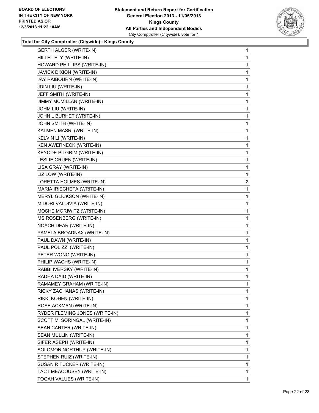

**Total for City Comptroller (Citywide) - Kings County**

| <b>GERTH ALGER (WRITE-IN)</b><br>HILLEL ELY (WRITE-IN)<br>HOWARD PHILLIPS (WRITE-IN)<br>JAVICK DIXION (WRITE-IN)<br>JAY RAIBOURN (WRITE-IN)<br>JDIN LIU (WRITE-IN)<br>JEFF SMITH (WRITE-IN)<br>JIMMY MCMILLAN (WRITE-IN)<br>JOHM LIU (WRITE-IN)<br>JOHN L BURHET (WRITE-IN)<br>JOHN SMITH (WRITE-IN)<br>KALMEN MASRI (WRITE-IN)<br>KELVIN LI (WRITE-IN)<br>KEN AWERNECK (WRITE-IN)<br><b>KEYODE PILGRIM (WRITE-IN)</b><br>LESLIE GRUEN (WRITE-IN)<br>LISA GRAY (WRITE-IN)<br>LIZ LOW (WRITE-IN)<br>LORETTA HOLMES (WRITE-IN)<br>MARIA IRIECHETA (WRITE-IN)<br><b>MERYL GLICKSON (WRITE-IN)</b><br>MIDORI VALDIVIA (WRITE-IN)<br>MOSHE MORIWITZ (WRITE-IN)<br>MS ROSENBERG (WRITE-IN)<br>NOACH DEAR (WRITE-IN)<br>PAMELA BROADNAX (WRITE-IN)<br>PAUL DAWN (WRITE-IN) | 1<br>1<br>1<br>1<br>1<br>1<br>1<br>1<br>1 |
|---------------------------------------------------------------------------------------------------------------------------------------------------------------------------------------------------------------------------------------------------------------------------------------------------------------------------------------------------------------------------------------------------------------------------------------------------------------------------------------------------------------------------------------------------------------------------------------------------------------------------------------------------------------------------------------------------------------------------------------------------------------------|-------------------------------------------|
|                                                                                                                                                                                                                                                                                                                                                                                                                                                                                                                                                                                                                                                                                                                                                                     |                                           |
|                                                                                                                                                                                                                                                                                                                                                                                                                                                                                                                                                                                                                                                                                                                                                                     |                                           |
|                                                                                                                                                                                                                                                                                                                                                                                                                                                                                                                                                                                                                                                                                                                                                                     |                                           |
|                                                                                                                                                                                                                                                                                                                                                                                                                                                                                                                                                                                                                                                                                                                                                                     |                                           |
|                                                                                                                                                                                                                                                                                                                                                                                                                                                                                                                                                                                                                                                                                                                                                                     |                                           |
|                                                                                                                                                                                                                                                                                                                                                                                                                                                                                                                                                                                                                                                                                                                                                                     |                                           |
|                                                                                                                                                                                                                                                                                                                                                                                                                                                                                                                                                                                                                                                                                                                                                                     |                                           |
|                                                                                                                                                                                                                                                                                                                                                                                                                                                                                                                                                                                                                                                                                                                                                                     |                                           |
|                                                                                                                                                                                                                                                                                                                                                                                                                                                                                                                                                                                                                                                                                                                                                                     |                                           |
|                                                                                                                                                                                                                                                                                                                                                                                                                                                                                                                                                                                                                                                                                                                                                                     | 1                                         |
|                                                                                                                                                                                                                                                                                                                                                                                                                                                                                                                                                                                                                                                                                                                                                                     | 1                                         |
|                                                                                                                                                                                                                                                                                                                                                                                                                                                                                                                                                                                                                                                                                                                                                                     | 1                                         |
|                                                                                                                                                                                                                                                                                                                                                                                                                                                                                                                                                                                                                                                                                                                                                                     | 1                                         |
|                                                                                                                                                                                                                                                                                                                                                                                                                                                                                                                                                                                                                                                                                                                                                                     | 1                                         |
|                                                                                                                                                                                                                                                                                                                                                                                                                                                                                                                                                                                                                                                                                                                                                                     | 1                                         |
|                                                                                                                                                                                                                                                                                                                                                                                                                                                                                                                                                                                                                                                                                                                                                                     | 1                                         |
|                                                                                                                                                                                                                                                                                                                                                                                                                                                                                                                                                                                                                                                                                                                                                                     | 1                                         |
|                                                                                                                                                                                                                                                                                                                                                                                                                                                                                                                                                                                                                                                                                                                                                                     | 1                                         |
|                                                                                                                                                                                                                                                                                                                                                                                                                                                                                                                                                                                                                                                                                                                                                                     | $\overline{c}$                            |
|                                                                                                                                                                                                                                                                                                                                                                                                                                                                                                                                                                                                                                                                                                                                                                     | 1                                         |
|                                                                                                                                                                                                                                                                                                                                                                                                                                                                                                                                                                                                                                                                                                                                                                     | 1                                         |
|                                                                                                                                                                                                                                                                                                                                                                                                                                                                                                                                                                                                                                                                                                                                                                     | 1                                         |
|                                                                                                                                                                                                                                                                                                                                                                                                                                                                                                                                                                                                                                                                                                                                                                     | 1                                         |
|                                                                                                                                                                                                                                                                                                                                                                                                                                                                                                                                                                                                                                                                                                                                                                     | 1                                         |
|                                                                                                                                                                                                                                                                                                                                                                                                                                                                                                                                                                                                                                                                                                                                                                     | 1                                         |
|                                                                                                                                                                                                                                                                                                                                                                                                                                                                                                                                                                                                                                                                                                                                                                     | 1                                         |
|                                                                                                                                                                                                                                                                                                                                                                                                                                                                                                                                                                                                                                                                                                                                                                     | 1                                         |
| PAUL POLIZZI (WRITE-IN)                                                                                                                                                                                                                                                                                                                                                                                                                                                                                                                                                                                                                                                                                                                                             | 1                                         |
| PETER WONG (WRITE-IN)                                                                                                                                                                                                                                                                                                                                                                                                                                                                                                                                                                                                                                                                                                                                               | 1                                         |
| PHILIP WACHS (WRITE-IN)                                                                                                                                                                                                                                                                                                                                                                                                                                                                                                                                                                                                                                                                                                                                             | 1                                         |
| RABBI IVERSKY (WRITE-IN)                                                                                                                                                                                                                                                                                                                                                                                                                                                                                                                                                                                                                                                                                                                                            | 1                                         |
| RADHA DAID (WRITE-IN)                                                                                                                                                                                                                                                                                                                                                                                                                                                                                                                                                                                                                                                                                                                                               | 1                                         |
| RAMAMEY GRAHAM (WRITE-IN)                                                                                                                                                                                                                                                                                                                                                                                                                                                                                                                                                                                                                                                                                                                                           | 1                                         |
| RICKY ZACHANAS (WRITE-IN)                                                                                                                                                                                                                                                                                                                                                                                                                                                                                                                                                                                                                                                                                                                                           | 1                                         |
| RIKKI KOHEN (WRITE-IN)                                                                                                                                                                                                                                                                                                                                                                                                                                                                                                                                                                                                                                                                                                                                              | 1                                         |
| ROSE ACKMAN (WRITE-IN)                                                                                                                                                                                                                                                                                                                                                                                                                                                                                                                                                                                                                                                                                                                                              | 1                                         |
| RYDER FLEMING JONES (WRITE-IN)                                                                                                                                                                                                                                                                                                                                                                                                                                                                                                                                                                                                                                                                                                                                      | 1                                         |
| SCOTT M. SORINGAL (WRITE-IN)                                                                                                                                                                                                                                                                                                                                                                                                                                                                                                                                                                                                                                                                                                                                        | 1                                         |
| SEAN CARTER (WRITE-IN)                                                                                                                                                                                                                                                                                                                                                                                                                                                                                                                                                                                                                                                                                                                                              | 1                                         |
| SEAN MULLIN (WRITE-IN)                                                                                                                                                                                                                                                                                                                                                                                                                                                                                                                                                                                                                                                                                                                                              | 1                                         |
| SIFER ASEPH (WRITE-IN)                                                                                                                                                                                                                                                                                                                                                                                                                                                                                                                                                                                                                                                                                                                                              | 1                                         |
| SOLOMON NORTHUP (WRITE-IN)                                                                                                                                                                                                                                                                                                                                                                                                                                                                                                                                                                                                                                                                                                                                          | 1                                         |
| STEPHEN RUIZ (WRITE-IN)                                                                                                                                                                                                                                                                                                                                                                                                                                                                                                                                                                                                                                                                                                                                             | 1                                         |
| SUSAN R TUCKER (WRITE-IN)                                                                                                                                                                                                                                                                                                                                                                                                                                                                                                                                                                                                                                                                                                                                           | 1                                         |
| TACT MEACOUSEY (WRITE-IN)                                                                                                                                                                                                                                                                                                                                                                                                                                                                                                                                                                                                                                                                                                                                           | 1                                         |
| TOGAH VALUES (WRITE-IN)                                                                                                                                                                                                                                                                                                                                                                                                                                                                                                                                                                                                                                                                                                                                             | 1                                         |